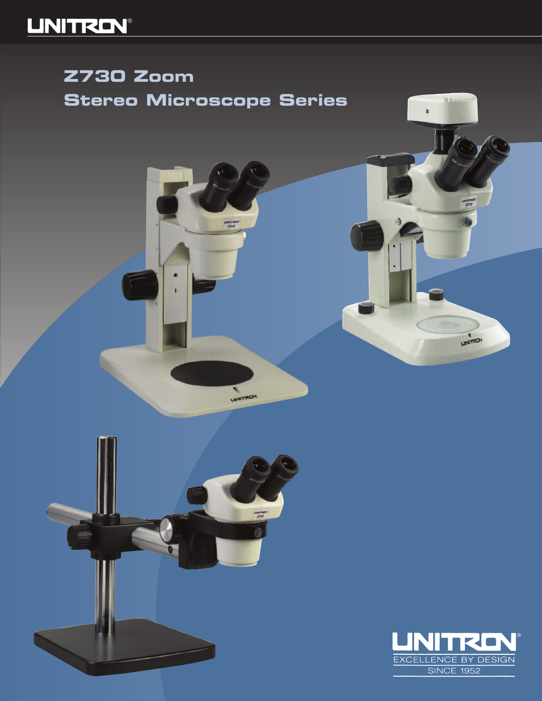## **LINITREN®**

## **Z730 Zoom Stereo Microscope Series**

**LINATTEE** 

LINITREN



**TELE** 

LINITRON

a.

×